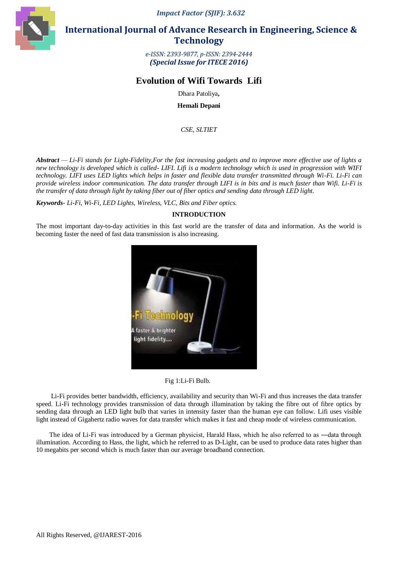*Impact Factor (SJIF): 3.632*



 **International Journal of Advance Research in Engineering, Science & Technology** 

> *e-ISSN: 2393-9877, p-ISSN: 2394-2444 (Special Issue for ITECE 2016)*

# **Evolution of Wifi Towards Lifi**

Dhara Patoliya**,**

**Hemali Depani**

*CSE, SLTIET*

*Abstract — Li-Fi stands for Light-Fidelity,For the fast increasing gadgets and to improve more effective use of lights a new technology is developed which is called- LIFI. Lifi is a modern technology which is used in progression with WIFI technology. LIFI uses LED lights which helps in faster and flexible data transfer transmitted through Wi-Fi. Li-Fi can provide wireless indoor communication. The data transfer through LIFI is in bits and is much faster than Wifi. Li-Fi is the transfer of data through light by taking fiber out of fiber optics and sending data through LED light.*

*Keywords- Li-Fi, Wi-Fi, LED Lights, Wireless, VLC, Bits and Fiber optics.* 

# **INTRODUCTION**

The most important day-to-day activities in this fast world are the transfer of data and information. As the world is becoming faster the need of fast data transmission is also increasing.



Fig 1:Li-Fi Bulb.

 Li-Fi provides better bandwidth, efficiency, availability and security than Wi-Fi and thus increases the data transfer speed. Li-Fi technology provides transmission of data through illumination by taking the fibre out of fibre optics by sending data through an LED light bulb that varies in intensity faster than the human eye can follow. Lifi uses visible light instead of Gigahertz radio waves for data transfer which makes it fast and cheap mode of wireless communication.

The idea of Li-Fi was introduced by a German physicist, Harald Hass, which he also referred to as —data through illumination. According to Hass, the light, which he referred to as D-Light, can be used to produce data rates higher than 10 megabits per second which is much faster than our average broadband connection.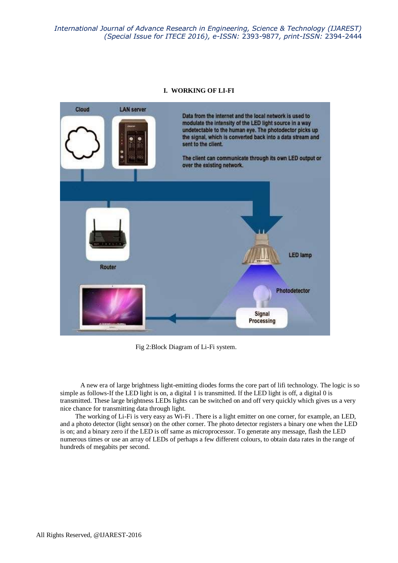*International Journal of Advance Research in Engineering, Science & Technology (IJAREST) (Special Issue for ITECE 2016), e-ISSN:* 2393-9877*, print-ISSN:* 2394-2444

#### **I. WORKING OF LI-FI**



Fig 2:Block Diagram of Li-Fi system.

 A new era of large brightness light-emitting diodes forms the core part of lifi technology. The logic is so simple as follows-If the LED light is on, a digital 1 is transmitted. If the LED light is off, a digital 0 is transmitted. These large brightness LEDs lights can be switched on and off very quickly which gives us a very nice chance for transmitting data through light.

 The working of Li-Fi is very easy as Wi-Fi . There is a light emitter on one corner, for example, an LED, and a photo detector (light sensor) on the other corner. The photo detector registers a binary one when the LED is on; and a binary zero if the LED is off same as microprocessor. To generate any message, flash the LED numerous times or use an array of LEDs of perhaps a few different colours, to obtain data rates in the range of hundreds of megabits per second.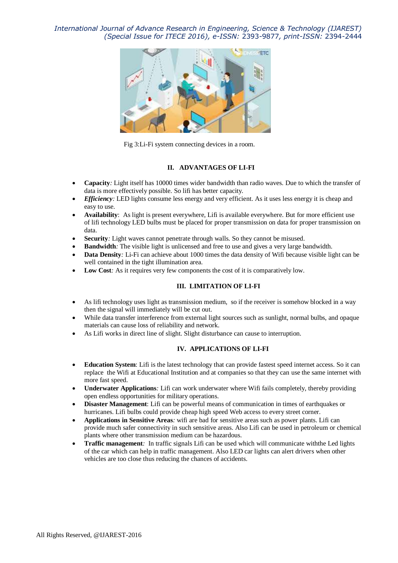*International Journal of Advance Research in Engineering, Science & Technology (IJAREST) (Special Issue for ITECE 2016), e-ISSN:* 2393-9877*, print-ISSN:* 2394-2444



Fig 3:Li-Fi system connecting devices in a room.

#### **II. ADVANTAGES OF LI-FI**

- **Capacity***:* Light itself has 10000 times wider bandwidth than radio waves. Due to which the transfer of data is more effectively possible. So lifi has better capacity*.*
- *Efficiency*: LED lights consume less energy and very efficient. As it uses less energy it is cheap and easy to use.
- **Availability**: As light is present everywhere, Lifi is available everywhere. But for more efficient use of lifi technology LED bulbs must be placed for proper transmission on data for proper transmission on data.
- **Security***:* Light waves cannot penetrate through walls. So they cannot be misused*.*
- **Bandwidth***:* The visible light is unlicensed and free to use and gives a very large bandwidth*.*
- **Data Density***:* Li-Fi can achieve about 1000 times the data density of Wifi because visible light can be well contained in the tight illumination area.
- **Low Cost***:* As it requires very few components the cost of it is comparatively low*.*

## **III. LIMITATION OF LI-FI**

- As lifi technology uses light as transmission medium, so if the receiver is somehow blocked in a way then the signal will immediately will be cut out.
- While data transfer interference from external light sources such as sunlight, normal bulbs, and opaque materials can cause loss of reliability and network.
- As Lifi works in direct line of slight. Slight disturbance can cause to interruption.

## **IV. APPLICATIONS OF LI-FI**

- **Education System**: Lifi is the latest technology that can provide fastest speed internet access. So it can replace the Wifi at Educational Institution and at companies so that they can use the same internet with more fast speed.
- **Underwater Applications***:* Lifi can work underwater where Wifi fails completely, thereby providing open endless opportunities for military operations.
- **Disaster Management**: Lifi can be powerful means of communication in times of earthquakes or hurricanes. Lifi bulbs could provide cheap high speed Web access to every street corner*.*
- **Applications in Sensitive Areas***:* wifi are bad for sensitive areas such as power plants. Lifi can provide much safer connectivity in such sensitive areas. Also Lifi can be used in petroleum or chemical plants where other transmission medium can be hazardous*.*
- **Traffic management***:* In traffic signals Lifi can be used which will communicate withthe Led lights of the car which can help in traffic management. Also LED car lights can alert drivers when other vehicles are too close thus reducing the chances of accidents.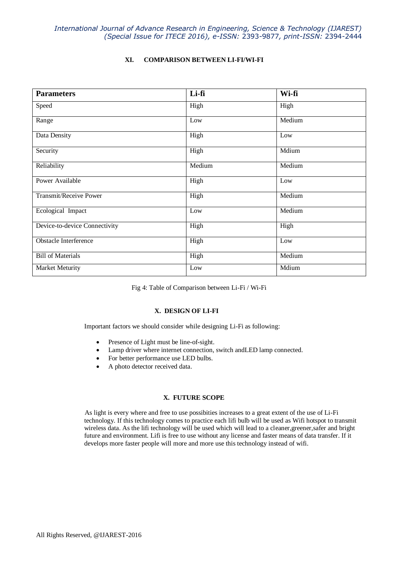# **XI. COMPARISON BETWEEN LI-FI/WI-FI**

| <b>Parameters</b>             | Li-fi  | Wi-fi  |
|-------------------------------|--------|--------|
| Speed                         | High   | High   |
| Range                         | Low    | Medium |
| Data Density                  | High   | Low    |
| Security                      | High   | Mdium  |
| Reliability                   | Medium | Medium |
| Power Available               | High   | Low    |
| <b>Transmit/Receive Power</b> | High   | Medium |
| Ecological Impact             | Low    | Medium |
| Device-to-device Connectivity | High   | High   |
| Obstacle Interference         | High   | Low    |
| <b>Bill of Materials</b>      | High   | Medium |
| Market Meturity               | Low    | Mdium  |

Fig 4: Table of Comparison between Li-Fi / Wi-Fi

## **X. DESIGN OF LI-FI**

Important factors we should consider while designing Li-Fi as following:

- Presence of Light must be line-of-sight.
- Lamp driver where internet connection, switch andLED lamp connected.
- For better performance use LED bulbs.
- A photo detector received data.

## **X. FUTURE SCOPE**

As light is every where and free to use possibities increases to a great extent of the use of Li-Fi technology. If this technology comes to practice each lifi bulb will be used as Wifi hotspot to transmit wireless data. As the lifi technology will be used which will lead to a cleaner,greener,safer and bright future and environment. Lifi is free to use without any license and faster means of data transfer. If it develops more faster people will more and more use this technology instead of wifi.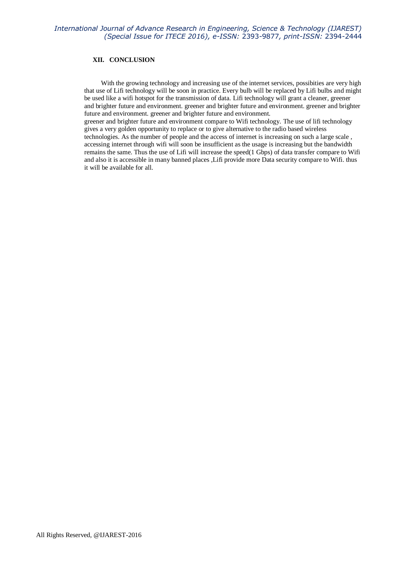## **XII. CONCLUSION**

 With the growing technology and increasing use of the internet services, possibities are very high that use of Lifi technology will be soon in practice. Every bulb will be replaced by Lifi bulbs and might be used like a wifi hotspot for the transmission of data. Lifi technology will grant a cleaner, greener and brighter future and environment. greener and brighter future and environment. greener and brighter future and environment. greener and brighter future and environment.

greener and brighter future and environment compare to Wifi technology. The use of lifi technology gives a very golden opportunity to replace or to give alternative to the radio based wireless technologies. As the number of people and the access of internet is increasing on such a large scale , accessing internet through wifi will soon be insufficient as the usage is increasing but the bandwidth remains the same. Thus the use of Lifi will increase the speed(1 Gbps) of data transfer compare to Wifi and also it is accessible in many banned places ,Lifi provide more Data security compare to Wifi. thus it will be available for all.